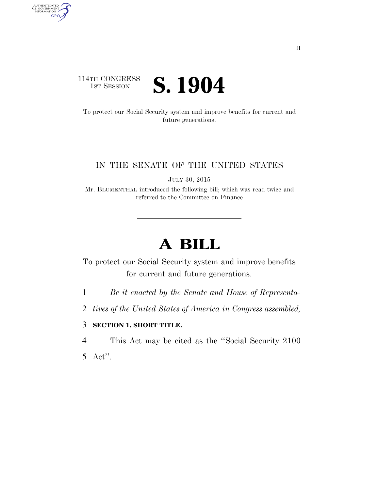### 114TH CONGRESS<br>1st Session **S. 1904**

AUTHENTICATED<br>U.S. GOVERNMENT<br>INFORMATION

**GPO** 

To protect our Social Security system and improve benefits for current and future generations.

#### IN THE SENATE OF THE UNITED STATES

JULY 30, 2015

Mr. BLUMENTHAL introduced the following bill; which was read twice and referred to the Committee on Finance

# **A BILL**

To protect our Social Security system and improve benefits for current and future generations.

1 *Be it enacted by the Senate and House of Representa-*

2 *tives of the United States of America in Congress assembled,* 

#### 3 **SECTION 1. SHORT TITLE.**

4 This Act may be cited as the ''Social Security 2100

5 Act''.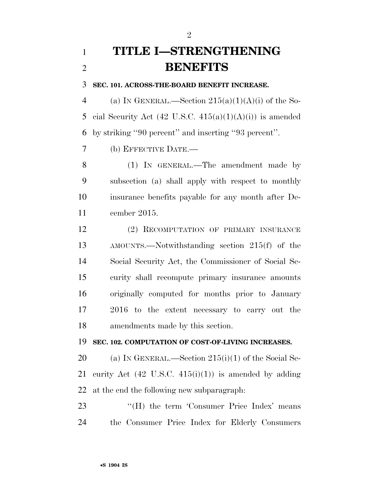# **TITLE I—STRENGTHENING BENEFITS**

**SEC. 101. ACROSS-THE-BOARD BENEFIT INCREASE.** 

4 (a) IN GENERAL.—Section  $215(a)(1)(A)(i)$  of the So-5 cial Security Act  $(42 \text{ U.S.C. } 415(a)(1)(A)(i))$  is amended by striking ''90 percent'' and inserting ''93 percent''.

(b) EFFECTIVE DATE.—

 (1) IN GENERAL.—The amendment made by subsection (a) shall apply with respect to monthly insurance benefits payable for any month after De-cember 2015.

 (2) RECOMPUTATION OF PRIMARY INSURANCE AMOUNTS.—Notwithstanding section 215(f) of the Social Security Act, the Commissioner of Social Se- curity shall recompute primary insurance amounts originally computed for months prior to January 2016 to the extent necessary to carry out the amendments made by this section.

#### **SEC. 102. COMPUTATION OF COST-OF-LIVING INCREASES.**

 (a) IN GENERAL.—Section 215(i)(1) of the Social Se-21 curity Act  $(42 \text{ U.S.C. } 415(i)(1))$  is amended by adding at the end the following new subparagraph:

23 "(H) the term 'Consumer Price Index' means the Consumer Price Index for Elderly Consumers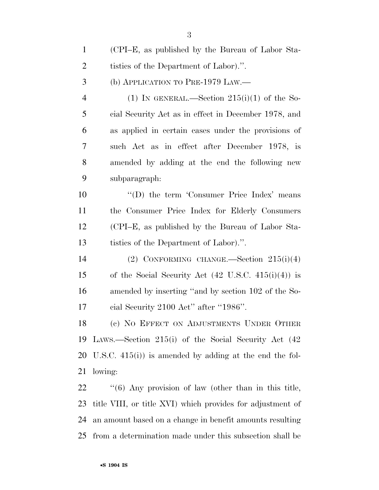| $\mathbf{1}$   | (CPI–E, as published by the Bureau of Labor Sta-               |
|----------------|----------------------------------------------------------------|
| $\overline{2}$ | tistics of the Department of Labor).".                         |
| 3              | (b) APPLICATION TO PRE-1979 LAW.—                              |
| $\overline{4}$ | (1) IN GENERAL.—Section $215(i)(1)$ of the So-                 |
| 5              | cial Security Act as in effect in December 1978, and           |
| 6              | as applied in certain cases under the provisions of            |
| 7              | such Act as in effect after December 1978, is                  |
| 8              | amended by adding at the end the following new                 |
| 9              | subparagraph:                                                  |
| 10             | "(D) the term 'Consumer Price Index' means                     |
| 11             | the Consumer Price Index for Elderly Consumers                 |
| 12             | (CPI–E, as published by the Bureau of Labor Sta-               |
| 13             | tistics of the Department of Labor).".                         |
| 14             | (2) CONFORMING CHANGE.—Section $215(i)(4)$                     |
| 15             | of the Social Security Act $(42 \text{ U.S.C. } 415(i)(4))$ is |
| 16             | amended by inserting "and by section 102 of the So-            |
| 17             | cial Security 2100 Act" after "1986".                          |
| 18             | (c) NO EFFECT ON ADJUSTMENTS UNDER OTHER                       |
| 19             | LAWS.—Section 215(i) of the Social Security Act (42)           |
|                | 20 U.S.C. $415(i)$ is amended by adding at the end the fol-    |
| 21             | lowing:                                                        |
| 22             | $(6)$ Any provision of law (other than in this title,          |
| 23             | title VIII, or title XVI) which provides for adjustment of     |
| 24             | an amount based on a change in benefit amounts resulting       |

from a determination made under this subsection shall be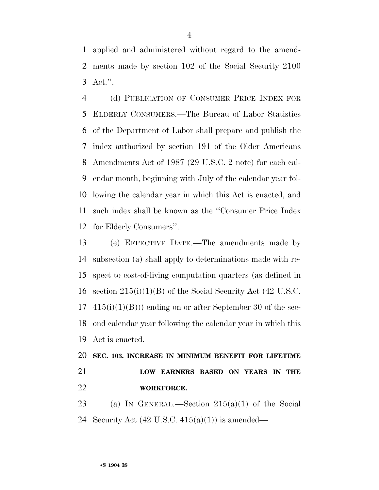applied and administered without regard to the amend- ments made by section 102 of the Social Security 2100 Act.''.

 (d) PUBLICATION OF CONSUMER PRICE INDEX FOR ELDERLY CONSUMERS.—The Bureau of Labor Statistics of the Department of Labor shall prepare and publish the index authorized by section 191 of the Older Americans Amendments Act of 1987 (29 U.S.C. 2 note) for each cal- endar month, beginning with July of the calendar year fol- lowing the calendar year in which this Act is enacted, and such index shall be known as the ''Consumer Price Index for Elderly Consumers''.

 (e) EFFECTIVE DATE.—The amendments made by subsection (a) shall apply to determinations made with re- spect to cost-of-living computation quarters (as defined in section 215(i)(1)(B) of the Social Security Act (42 U.S.C.  $17 \quad 415(i)(1)(B))$  ending on or after September 30 of the sec- ond calendar year following the calendar year in which this Act is enacted.

### **SEC. 103. INCREASE IN MINIMUM BENEFIT FOR LIFETIME LOW EARNERS BASED ON YEARS IN THE WORKFORCE.**

23 (a) IN GENERAL.—Section  $215(a)(1)$  of the Social 24 Security Act  $(42 \text{ U.S.C. } 415(a)(1))$  is amended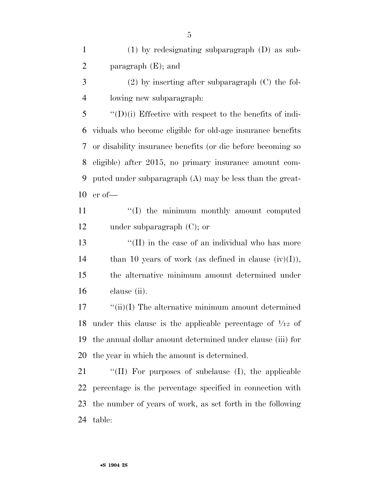(1) by redesignating subparagraph (D) as sub-paragraph (E); and

 (2) by inserting after subparagraph (C) the fol-lowing new subparagraph:

 ''(D)(i) Effective with respect to the benefits of indi- viduals who become eligible for old-age insurance benefits or disability insurance benefits (or die before becoming so eligible) after 2015, no primary insurance amount com- puted under subparagraph (A) may be less than the great-er of—

11 ''(I) the minimum monthly amount computed under subparagraph (C); or

13 ''(II) in the case of an individual who has more 14 than 10 years of work (as defined in clause  $(iv)(I)$ ), the alternative minimum amount determined under clause (ii).

17 ''(ii)(I) The alternative minimum amount determined 18 under this clause is the applicable percentage of  $\frac{1}{12}$  of the annual dollar amount determined under clause (iii) for the year in which the amount is determined.

 ''(II) For purposes of subclause (I), the applicable percentage is the percentage specified in connection with the number of years of work, as set forth in the following table: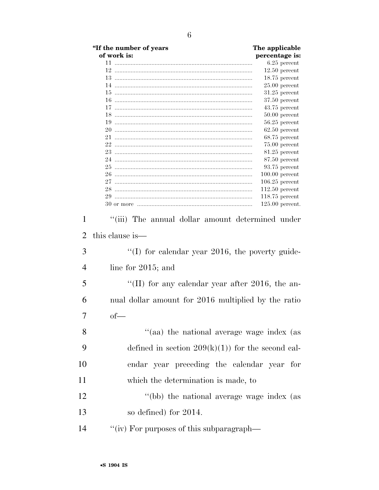|                | "If the number of years                             | The applicable                     |
|----------------|-----------------------------------------------------|------------------------------------|
|                | of work is:                                         | percentage is:                     |
|                |                                                     | $6.25$ percent                     |
|                |                                                     | $12.50$ percent                    |
|                |                                                     | $18.75$ percent                    |
|                |                                                     | $25.00$ percent                    |
|                |                                                     | $31.25$ percent                    |
|                |                                                     | $37.50$ percent                    |
|                |                                                     | $43.75$ percent                    |
|                |                                                     | $50.00$ percent<br>$56.25$ percent |
|                |                                                     | $62.50$ percent                    |
|                |                                                     | $68.75$ percent                    |
|                |                                                     | $75.00$ percent                    |
|                |                                                     | 81.25 percent                      |
|                |                                                     | $87.50$ percent                    |
|                |                                                     | 93.75 percent                      |
|                |                                                     | $100.00$ percent                   |
|                |                                                     | $106.25$ percent                   |
|                |                                                     | $112.50$ percent                   |
|                |                                                     | $118.75$ percent                   |
|                |                                                     | $125.00$ percent.                  |
| $\overline{2}$ | this clause is—                                     |                                    |
| 3              | $\lq(1)$ for calendar year 2016, the poverty guide- |                                    |
| $\overline{4}$ | line for $2015$ ; and                               |                                    |
| 5              | "(II) for any calendar year after 2016, the an-     |                                    |
| 6              | nual dollar amount for 2016 multiplied by the ratio |                                    |
| 7              | $of$ —                                              |                                    |
| 8              | "(aa) the national average wage index (as           |                                    |
| 9              | defined in section $209(k)(1)$ for the second cal-  |                                    |
| 10             | endar year preceding the calendar year for          |                                    |
| 11             | which the determination is made, to                 |                                    |
| 12             | "(bb) the national average wage index (as           |                                    |
| 13             | so defined) for 2014.                               |                                    |
| 14             | "(iv) For purposes of this subparagraph—            |                                    |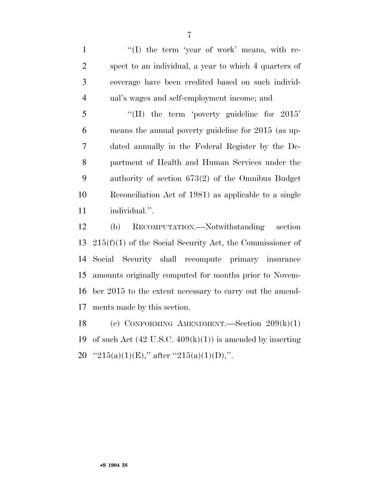1 ''(I) the term 'year of work' means, with re- spect to an individual, a year to which 4 quarters of coverage have been credited based on such individ-ual's wages and self-employment income; and

 ''(II) the term 'poverty guideline for 2015' means the annual poverty guideline for 2015 (as up- dated annually in the Federal Register by the De- partment of Health and Human Services under the authority of section 673(2) of the Omnibus Budget Reconciliation Act of 1981) as applicable to a single individual.''.

 (b) RECOMPUTATION.—Notwithstanding section 215(f)(1) of the Social Security Act, the Commissioner of Social Security shall recompute primary insurance amounts originally computed for months prior to Novem- ber 2015 to the extent necessary to carry out the amend-ments made by this section.

 (c) CONFORMING AMENDMENT.—Section 209(k)(1) 19 of such Act  $(42 \text{ U.S.C. } 409(k)(1))$  is amended by inserting 20  $"215(a)(1)(E)$ ," after  $"215(a)(1)(D)$ ,".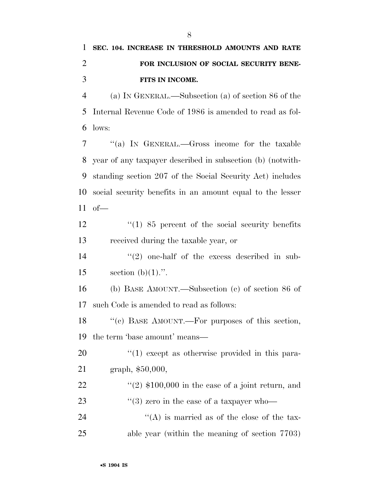# **SEC. 104. INCREASE IN THRESHOLD AMOUNTS AND RATE FOR INCLUSION OF SOCIAL SECURITY BENE-FITS IN INCOME.**

 (a) IN GENERAL.—Subsection (a) of section 86 of the Internal Revenue Code of 1986 is amended to read as fol-lows:

 ''(a) IN GENERAL.—Gross income for the taxable year of any taxpayer described in subsection (b) (notwith- standing section 207 of the Social Security Act) includes social security benefits in an amount equal to the lesser of—

12 ''(1) 85 percent of the social security benefits received during the taxable year, or

 $(2)$  one-half of the excess described in sub-15 section  $(b)(1)$ .".

 (b) BASE AMOUNT.—Subsection (c) of section 86 of such Code is amended to read as follows:

 ''(c) BASE AMOUNT.—For purposes of this section, the term 'base amount' means—

20 ''(1) except as otherwise provided in this para-graph, \$50,000,

 $\frac{((2) \t{100,000 \t{in} \theta} \cdot \text{case of a joint return, and}}{2}$  $\frac{1}{2}$  (3) zero in the case of a taxpayer who- $\langle A \rangle$  is married as of the close of the tax-able year (within the meaning of section 7703)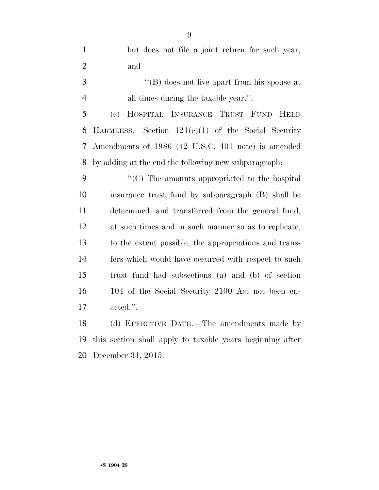but does not file a joint return for such year, and ''(B) does not live apart from his spouse at all times during the taxable year.''. (c) HOSPITAL INSURANCE TRUST FUND HELD HARMLESS.—Section 121(e)(1) of the Social Security Amendments of 1986 (42 U.S.C. 401 note) is amended by adding at the end the following new subparagraph: 9 "'(C) The amounts appropriated to the hospital insurance trust fund by subparagraph (B) shall be determined, and transferred from the general fund, at such times and in such manner so as to replicate, to the extent possible, the appropriations and trans- fers which would have occurred with respect to such trust fund had subsections (a) and (b) of section 104 of the Social Security 2100 Act not been en-

acted.''.

 (d) EFFECTIVE DATE.—The amendments made by this section shall apply to taxable years beginning after December 31, 2015.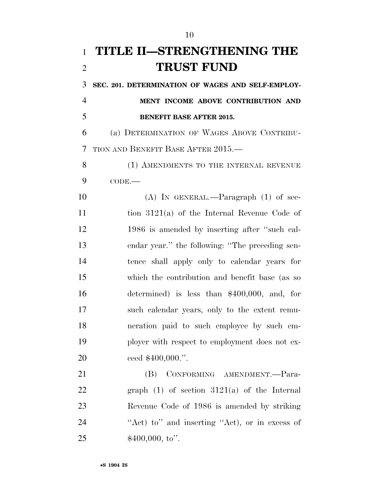# **TITLE II—STRENGTHENING THE TRUST FUND**

 **SEC. 201. DETERMINATION OF WAGES AND SELF-EMPLOY- MENT INCOME ABOVE CONTRIBUTION AND BENEFIT BASE AFTER 2015.** 

 (a) DETERMINATION OF WAGES ABOVE CONTRIBU-TION AND BENEFIT BASE AFTER 2015.—

8 (1) AMENDMENTS TO THE INTERNAL REVENUE CODE.—

 (A) IN GENERAL.—Paragraph (1) of sec- tion 3121(a) of the Internal Revenue Code of 1986 is amended by inserting after ''such cal- endar year.'' the following: ''The preceding sen- tence shall apply only to calendar years for which the contribution and benefit base (as so determined) is less than \$400,000, and, for such calendar years, only to the extent remu- neration paid to such employee by such em- ployer with respect to employment does not ex-ceed \$400,000.''.

 (B) CONFORMING AMENDMENT.—Para- graph (1) of section 3121(a) of the Internal Revenue Code of 1986 is amended by striking 24 "Act) to" and inserting "Act), or in excess of  $$400,000, to".$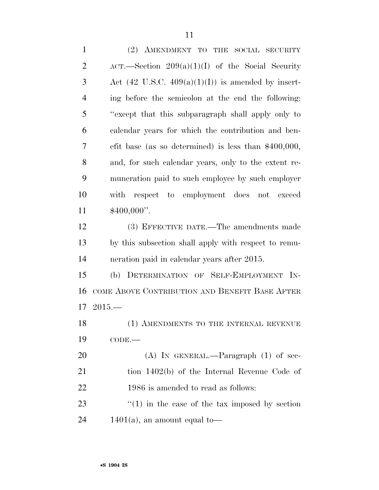| $\mathbf{1}$   | (2) AMENDMENT TO THE SOCIAL SECURITY                          |
|----------------|---------------------------------------------------------------|
| $\overline{2}$ | $ACT.$ Section $209(a)(1)(I)$ of the Social Security          |
| 3              | Act $(42 \text{ U.S.C. } 409(a)(1)(I))$ is amended by insert- |
| $\overline{4}$ | ing before the semicolon at the end the following:            |
| 5              | "except that this subparagraph shall apply only to            |
| 6              | calendar years for which the contribution and ben-            |
| 7              | efit base (as so determined) is less than $$400,000$ ,        |
| 8              | and, for such calendar years, only to the extent re-          |
| 9              | muneration paid to such employee by such employer             |
| 10             | with respect to employment does not exceed                    |
| 11             | $$400,000"$ .                                                 |
| 12             | (3) EFFECTIVE DATE.—The amendments made                       |
| 13             | by this subsection shall apply with respect to remu-          |
| 14             | neration paid in calendar years after 2015.                   |
| 15             | (b) DETERMINATION OF SELF-EMPLOYMENT IN-                      |
| 16             | COME ABOVE CONTRIBUTION AND BENEFIT BASE AFTER                |
| 17             | $2015-$                                                       |
| 18             | (1) AMENDMENTS TO THE INTERNAL REVENUE                        |
| 19             | $CODE$ .                                                      |
| 20             | $(A)$ In GENERAL.—Paragraph $(1)$ of sec-                     |
| 21             | tion 1402(b) of the Internal Revenue Code of                  |
| 22             | 1986 is amended to read as follows:                           |
| 23             | $f''(1)$ in the case of the tax imposed by section            |
| 24             | $1401(a)$ , an amount equal to-                               |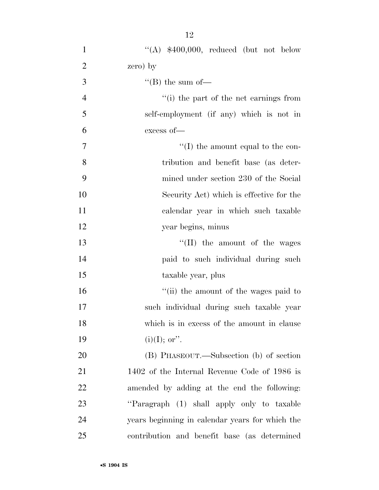| $\mathbf{1}$   | "(A) $$400,000$ , reduced (but not below        |
|----------------|-------------------------------------------------|
| $\overline{2}$ | zero) by                                        |
| 3              | $\lq\lq (B)$ the sum of-                        |
| $\overline{4}$ | $\cdot$ (i) the part of the net earnings from   |
| 5              | self-employment (if any) which is not in        |
| 6              | excess of-                                      |
| $\overline{7}$ | $\lq\lq$ (I) the amount equal to the con-       |
| 8              | tribution and benefit base (as deter-           |
| 9              | mined under section 230 of the Social           |
| 10             | Security Act) which is effective for the        |
| 11             | calendar year in which such taxable             |
| 12             | year begins, minus                              |
| 13             | $\lq\lq$ (II) the amount of the wages           |
| 14             | paid to such individual during such             |
| 15             | taxable year, plus                              |
| 16             | "(ii) the amount of the wages paid to           |
| 17             | such individual during such taxable year        |
| 18             | which is in excess of the amount in clause      |
| 19             | $(i)(I);$ or".                                  |
| 20             | (B) PHASEOUT.—Subsection (b) of section         |
| 21             | 1402 of the Internal Revenue Code of 1986 is    |
| 22             | amended by adding at the end the following:     |
| 23             | "Paragraph (1) shall apply only to taxable      |
| 24             | years beginning in calendar years for which the |
| 25             | contribution and benefit base (as determined    |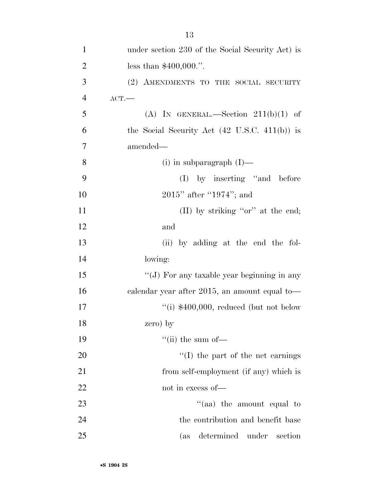| $\mathbf{1}$   | under section 230 of the Social Security Act) is         |
|----------------|----------------------------------------------------------|
| $\overline{c}$ | less than $$400,000."$ .                                 |
| 3              | (2) AMENDMENTS TO THE SOCIAL SECURITY                    |
| $\overline{4}$ | $ACT$ .                                                  |
| 5              | (A) IN GENERAL.—Section $211(b)(1)$ of                   |
| 6              | the Social Security Act $(42 \text{ U.S.C. } 411(b))$ is |
| 7              | amended—                                                 |
| 8              | $(i)$ in subparagraph $(I)$ —                            |
| 9              | $(I)$ by inserting "and before                           |
| 10             | $2015"$ after "1974"; and                                |
| 11             | (II) by striking " $or$ " at the end;                    |
| 12             | and                                                      |
| 13             | (ii) by adding at the end the fol-                       |
| 14             | lowing:                                                  |
| 15             | "(J) For any taxable year beginning in any               |
| 16             | calendar year after 2015, an amount equal to-            |
| 17             | "(i) $$400,000$ , reduced (but not below                 |
| 18             | zero) by                                                 |
| 19             | "(ii) the sum of $-$                                     |
| 20             | $\lq\lq$ (I) the part of the net earnings                |
| 21             | from self-employment (if any) which is                   |
| 22             | not in excess of-                                        |
| 23             | "(aa) the amount equal to                                |
| 24             | the contribution and benefit base                        |
| 25             | determined under<br>section<br>(as                       |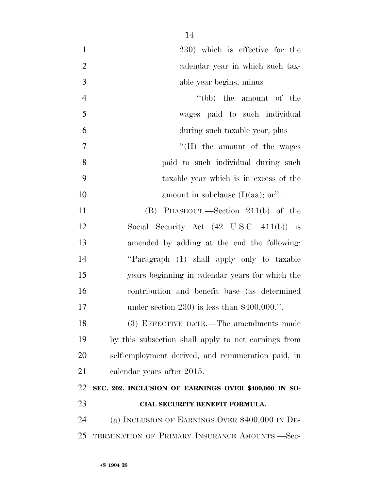| 230) which is effective for the                       |
|-------------------------------------------------------|
| calendar year in which such tax-                      |
| able year begins, minus                               |
| $\lq\lq(bb)$ the amount of the                        |
| wages paid to such individual                         |
| during such taxable year, plus                        |
| "(II) the amount of the wages                         |
| paid to such individual during such                   |
| taxable year which is in excess of the                |
| amount in subclause $(I)(aa)$ ; or".                  |
| (B) PHASEOUT.—Section $211(b)$ of the                 |
| Social Security Act $(42 \text{ U.S.C. } 411(b))$ is  |
| amended by adding at the end the following:           |
| "Paragraph (1) shall apply only to taxable            |
| years beginning in calendar years for which the       |
| contribution and benefit base (as determined          |
| under section 230) is less than $$400,000."$ .        |
| (3) EFFECTIVE DATE.—The amendments made               |
| by this subsection shall apply to net earnings from   |
| self-employment derived, and remuneration paid, in    |
| calendar years after 2015.                            |
| SEC. 202. INCLUSION OF EARNINGS OVER \$400,000 IN SO- |
| CIAL SECURITY BENEFIT FORMULA.                        |
|                                                       |
| (a) INCLUSION OF EARNINGS OVER $$400,000$ IN DE-      |
|                                                       |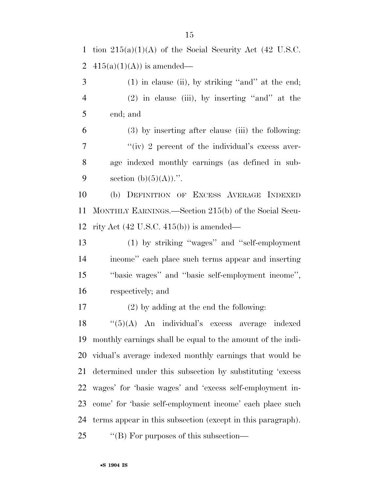1 tion  $215(a)(1)(A)$  of the Social Security Act (42 U.S.C. 2 415(a)(1)(A)) is amended—

 (1) in clause (ii), by striking ''and'' at the end; (2) in clause (iii), by inserting ''and'' at the end; and

 (3) by inserting after clause (iii) the following:  $''(iv)$  2 percent of the individual's excess aver- age indexed monthly earnings (as defined in sub-9 section  $(b)(5)(A))$ .".

 (b) DEFINITION OF EXCESS AVERAGE INDEXED MONTHLY EARNINGS.—Section 215(b) of the Social Secu-rity Act (42 U.S.C. 415(b)) is amended—

 (1) by striking ''wages'' and ''self-employment income'' each place such terms appear and inserting ''basic wages'' and ''basic self-employment income'', respectively; and

(2) by adding at the end the following:

 ''(5)(A) An individual's excess average indexed monthly earnings shall be equal to the amount of the indi- vidual's average indexed monthly earnings that would be determined under this subsection by substituting 'excess wages' for 'basic wages' and 'excess self-employment in- come' for 'basic self-employment income' each place such terms appear in this subsection (except in this paragraph). 25 "'(B) For purposes of this subsection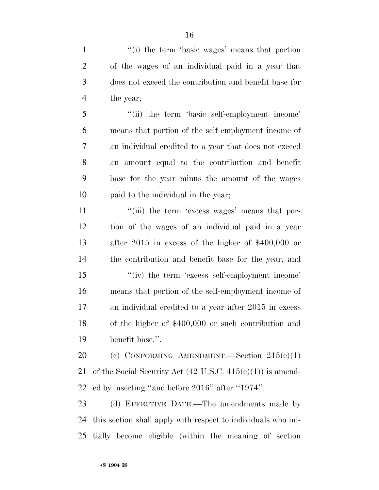1 ''(i) the term 'basic wages' means that portion of the wages of an individual paid in a year that does not exceed the contribution and benefit base for the year;

 ''(ii) the term 'basic self-employment income' means that portion of the self-employment income of an individual credited to a year that does not exceed an amount equal to the contribution and benefit base for the year minus the amount of the wages paid to the individual in the year;

11 ''(iii) the term 'excess wages' means that por- tion of the wages of an individual paid in a year after 2015 in excess of the higher of \$400,000 or the contribution and benefit base for the year; and 15 ''(iv) the term 'excess self-employment income' means that portion of the self-employment income of an individual credited to a year after 2015 in excess of the higher of \$400,000 or such contribution and benefit base.''.

 (c) CONFORMING AMENDMENT.—Section 215(e)(1) of the Social Security Act (42 U.S.C. 415(e)(1)) is amend-ed by inserting ''and before 2016'' after ''1974''.

 (d) EFFECTIVE DATE.—The amendments made by this section shall apply with respect to individuals who ini-tially become eligible (within the meaning of section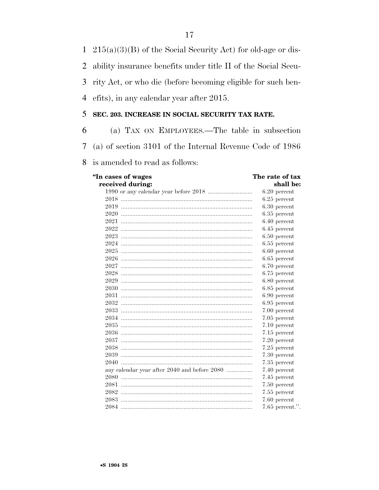$1\quad 215(a)(3)(B)$  of the Social Security Act) for old-age or dis-

ability insurance benefits under title II of the Social Secu- $\overline{2}$ 

rity Act, or who die (before becoming eligible for such ben-3

efits), in any calendar year after 2015.  $\overline{4}$ 

#### 5 SEC. 203. INCREASE IN SOCIAL SECURITY TAX RATE.

(a) TAX ON EMPLOYEES.—The table in subsection 6 7 (a) of section 3101 of the Internal Revenue Code of 1986

8 is amended to read as follows:

"In cases of wages received during: The rate of tax shall be:

|                                              | $6.20$ percent    |
|----------------------------------------------|-------------------|
|                                              | $6.25$ percent    |
|                                              | $6.30$ percent    |
|                                              | $6.35$ percent    |
|                                              | $6.40$ percent    |
|                                              | $6.45$ percent    |
|                                              | $6.50$ percent    |
|                                              | $6.55$ percent    |
|                                              | $6.60$ percent    |
|                                              | $6.65$ percent    |
|                                              | 6.70 percent      |
|                                              | $6.75$ percent    |
|                                              | $6.80$ percent    |
|                                              | $6.85$ percent    |
|                                              | $6.90$ percent    |
|                                              | $6.95$ percent    |
|                                              | 7.00 percent      |
|                                              | 7.05 percent      |
|                                              | 7.10 percent      |
|                                              | 7.15 percent      |
|                                              | 7.20 percent      |
|                                              | 7.25 percent      |
|                                              | 7.30 percent      |
| 2040                                         | 7.35 percent      |
| any calendar year after 2040 and before 2080 | 7.40 percent      |
|                                              | 7.45 percent      |
|                                              | 7.50 percent      |
|                                              | 7.55 percent      |
|                                              | 7.60 percent      |
|                                              | $7.65$ percent.". |
|                                              |                   |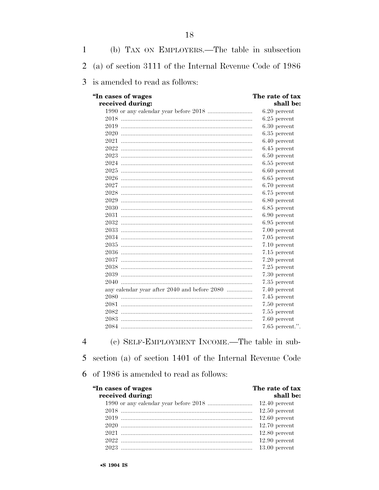| 1 | (b) TAX ON EMPLOYERS.—The table in subsection            |                              |
|---|----------------------------------------------------------|------------------------------|
| 2 | (a) of section 3111 of the Internal Revenue Code of 1986 |                              |
| 3 | is amended to read as follows:                           |                              |
|   | "In cases of wages<br>received during:                   | The rate of tax<br>shall be: |
|   |                                                          | $6.20$ percent               |
|   |                                                          | $6.25$ percent               |
|   |                                                          | $6.30$ percent               |
|   |                                                          | $6.35$ percent               |
|   |                                                          | $6.40$ percent               |
|   |                                                          | $6.45$ percent               |
|   |                                                          | $6.50$ percent               |
|   |                                                          | $6.55$ percent               |
|   |                                                          | $6.60$ percent               |
|   |                                                          | $6.65$ percent               |
|   |                                                          | 6.70 percent                 |
|   |                                                          | 6.75 percent                 |
|   |                                                          | $6.80$ percent               |
|   |                                                          | $6.85$ percent               |
|   |                                                          | $6.90$ percent               |
|   |                                                          | $6.95$ percent               |
|   |                                                          | 7.00 percent                 |
|   |                                                          | 7.05 percent                 |
|   |                                                          | 7.10 percent                 |
|   |                                                          | 7.15 percent                 |
|   |                                                          | 7.20 percent                 |
|   |                                                          | 7.25 percent                 |
|   |                                                          | 7.30 percent                 |
|   |                                                          | 7.35 percent                 |
|   | any calendar year after 2040 and before 2080             | 7.40 percent                 |
|   |                                                          | 7.45 percent                 |
|   |                                                          | 7.50 percent                 |
|   |                                                          | 7.55 percent                 |
|   |                                                          | 7.60 percent                 |
|   |                                                          | $7.65$ percent.".            |

18

(c) SELF-EMPLOYMENT INCOME.—The table in sub- $\overline{4}$ 5 section (a) of section 1401 of the Internal Revenue Code

 $6\;$  of 1986 is amended to read as follows:

| "In cases of wages<br>received during: | The rate of tax<br>shall be: |
|----------------------------------------|------------------------------|
|                                        |                              |
|                                        | $12.50$ percent              |
|                                        | $12.60$ percent              |
|                                        | $12.70$ percent              |
|                                        | $12.80$ percent              |
|                                        | $12.90$ percent              |
|                                        | $13.00$ percent              |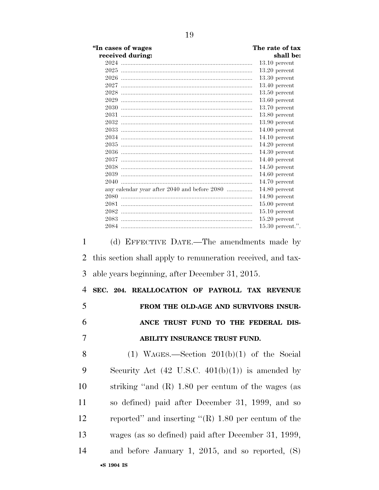|                | "In cases of wages<br>received during:                                                                        | The rate of tax<br>shall be:       |
|----------------|---------------------------------------------------------------------------------------------------------------|------------------------------------|
|                |                                                                                                               | $13.10$ percent                    |
|                |                                                                                                               | $13.20$ percent                    |
|                |                                                                                                               | $13.30$ percent                    |
|                |                                                                                                               | $13.40$ percent                    |
|                |                                                                                                               | $13.50$ percent                    |
|                |                                                                                                               | $13.60$ percent                    |
|                |                                                                                                               | $13.70$ percent                    |
|                |                                                                                                               | $13.80$ percent                    |
|                |                                                                                                               | $13.90$ percent                    |
|                |                                                                                                               | $14.00$ percent<br>$14.10$ percent |
|                |                                                                                                               | $14.20$ percent                    |
|                |                                                                                                               | $14.30$ percent                    |
|                |                                                                                                               | $14.40$ percent                    |
|                |                                                                                                               | $14.50$ percent                    |
|                |                                                                                                               | $14.60$ percent                    |
|                |                                                                                                               | $14.70$ percent                    |
|                | any calendar year after 2040 and before 2080                                                                  | $14.80$ percent                    |
|                |                                                                                                               | $14.90$ percent                    |
|                |                                                                                                               | $15.00$ percent<br>$15.10$ percent |
|                |                                                                                                               | $15.20$ percent                    |
|                |                                                                                                               | $15.30$ percent.".                 |
| 2<br>3         | this section shall apply to remuneration received, and tax-<br>able years beginning, after December 31, 2015. |                                    |
| $\overline{4}$ | SEC. 204. REALLOCATION OF PAYROLL TAX REVENUE                                                                 |                                    |
| 5              | FROM THE OLD-AGE AND SURVIVORS INSUR-                                                                         |                                    |
| 6              | ANCE TRUST FUND TO THE FEDERAL DIS-                                                                           |                                    |
| 7              | ABILITY INSURANCE TRUST FUND.                                                                                 |                                    |
| 8              | $(1)$ WAGES.—Section $201(b)(1)$ of the Social                                                                |                                    |
| 9              | Security Act $(42 \text{ U.S.C. } 401(b)(1))$ is amended by                                                   |                                    |
| 10             | striking "and $(R)$ 1.80 per centum of the wages (as                                                          |                                    |
| 11             | so defined) paid after December 31, 1999, and so                                                              |                                    |
| 12             | reported" and inserting " $(R)$ 1.80 per centum of the                                                        |                                    |
| 13             | wages (as so defined) paid after December 31, 1999,                                                           |                                    |
| 14             | and before January 1, 2015, and so reported, $(S)$                                                            |                                    |
|                |                                                                                                               |                                    |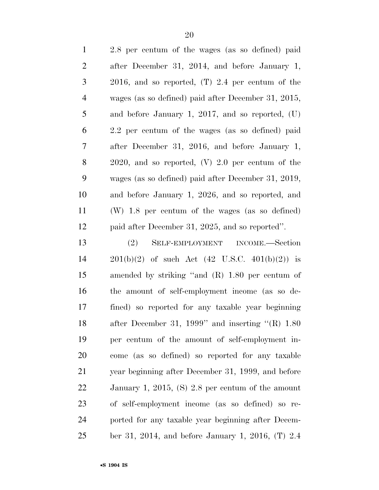| $\mathbf{1}$   | 2.8 per centum of the wages (as so defined) paid            |
|----------------|-------------------------------------------------------------|
| $\overline{2}$ | after December 31, 2014, and before January 1,              |
| 3              | 2016, and so reported, $(T)$ 2.4 per centum of the          |
| $\overline{4}$ | wages (as so defined) paid after December 31, 2015,         |
| 5              | and before January 1, 2017, and so reported, $(U)$          |
| 6              | 2.2 per centum of the wages (as so defined) paid            |
| 7              | after December 31, 2016, and before January 1,              |
| 8              | $2020$ , and so reported, $(V)$ 2.0 per centum of the       |
| 9              | wages (as so defined) paid after December 31, 2019,         |
| 10             | and before January 1, 2026, and so reported, and            |
| 11             | (W) 1.8 per centum of the wages (as so defined)             |
| 12             | paid after December 31, 2025, and so reported".             |
| 13             | (2)<br>SELF-EMPLOYMENT INCOME.—Section                      |
| 14             | $201(b)(2)$ of such Act $(42 \text{ U.S.C. } 401(b)(2))$ is |
| 15             | amended by striking "and $(R)$ 1.80 per centum of           |
| 16             | the amount of self-employment income (as so de-             |
| 17             | fined) so reported for any taxable year beginning           |
| 18             | after December 31, 1999" and inserting $\text{``(R)}$ 1.80  |
| 19             | per centum of the amount of self-employment in-             |
| 20             | come (as so defined) so reported for any taxable            |
| 21             | year beginning after December 31, 1999, and before          |
| 22             | January 1, 2015, (S) 2.8 per centum of the amount           |
| 23             | of self-employment income (as so defined) so re-            |
| 24             | ported for any taxable year beginning after Decem-          |
| 25             | ber 31, 2014, and before January 1, 2016, $(T)$ 2.4         |